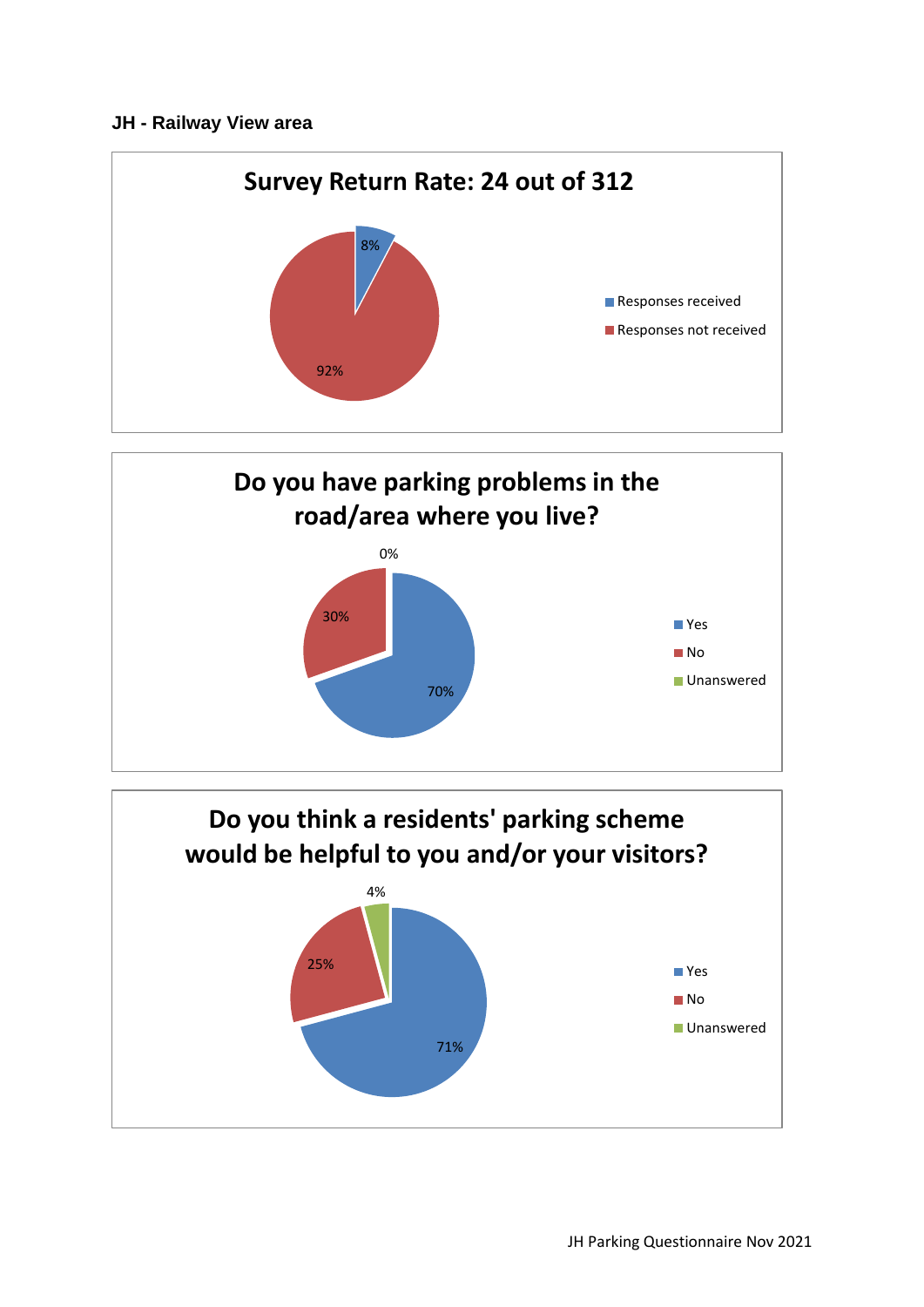## **JH - Railway View area**





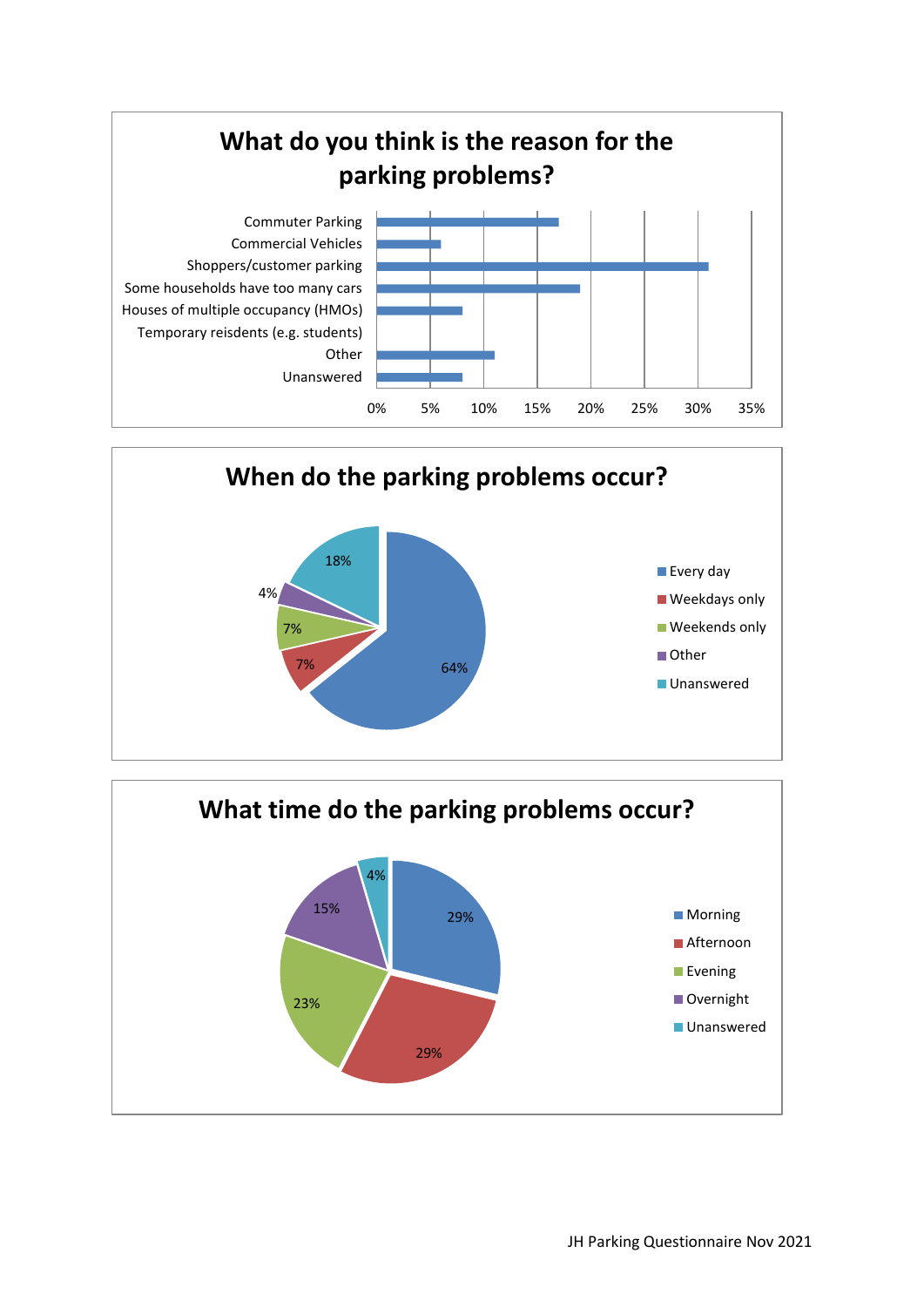



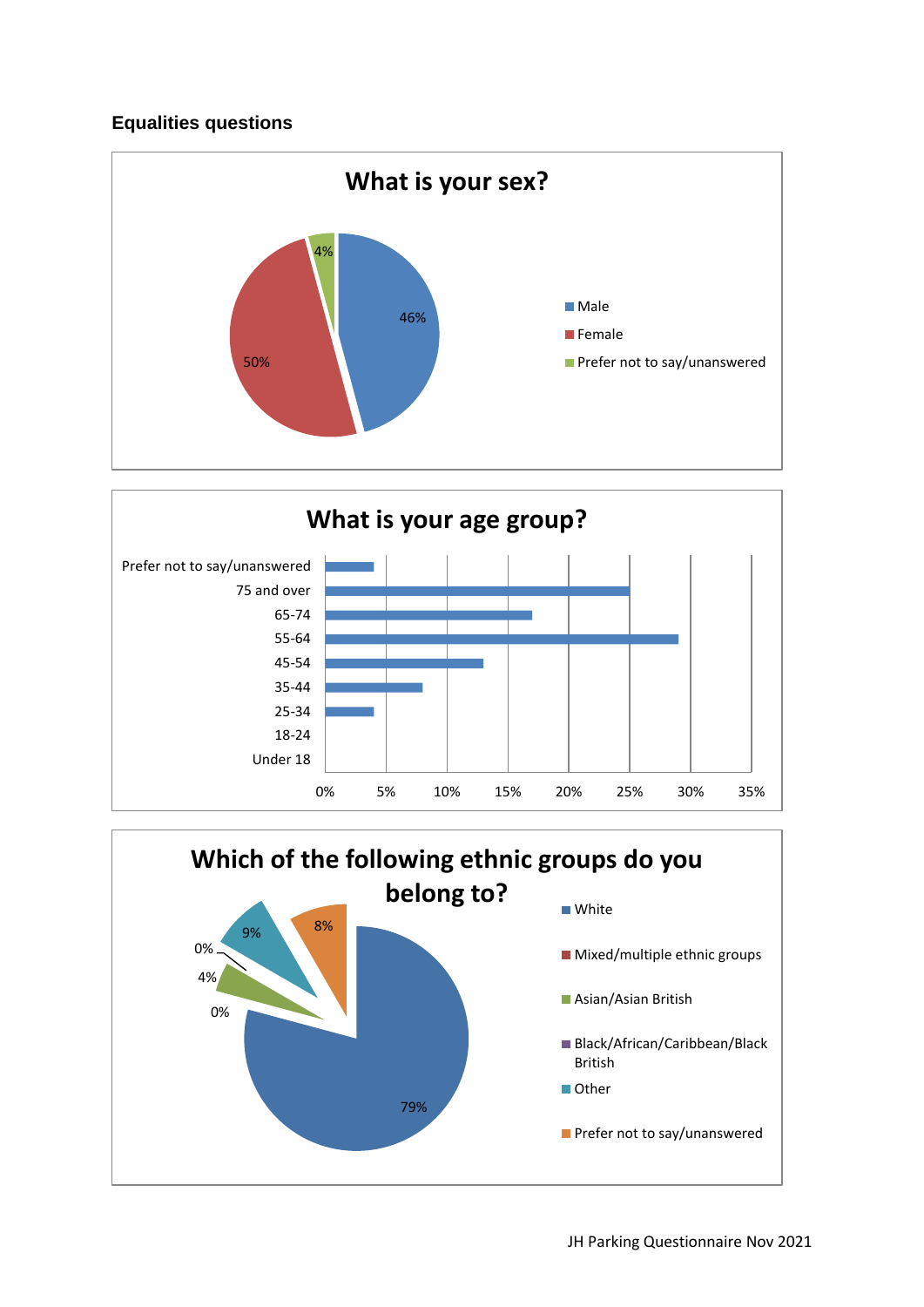## **Equalities questions**





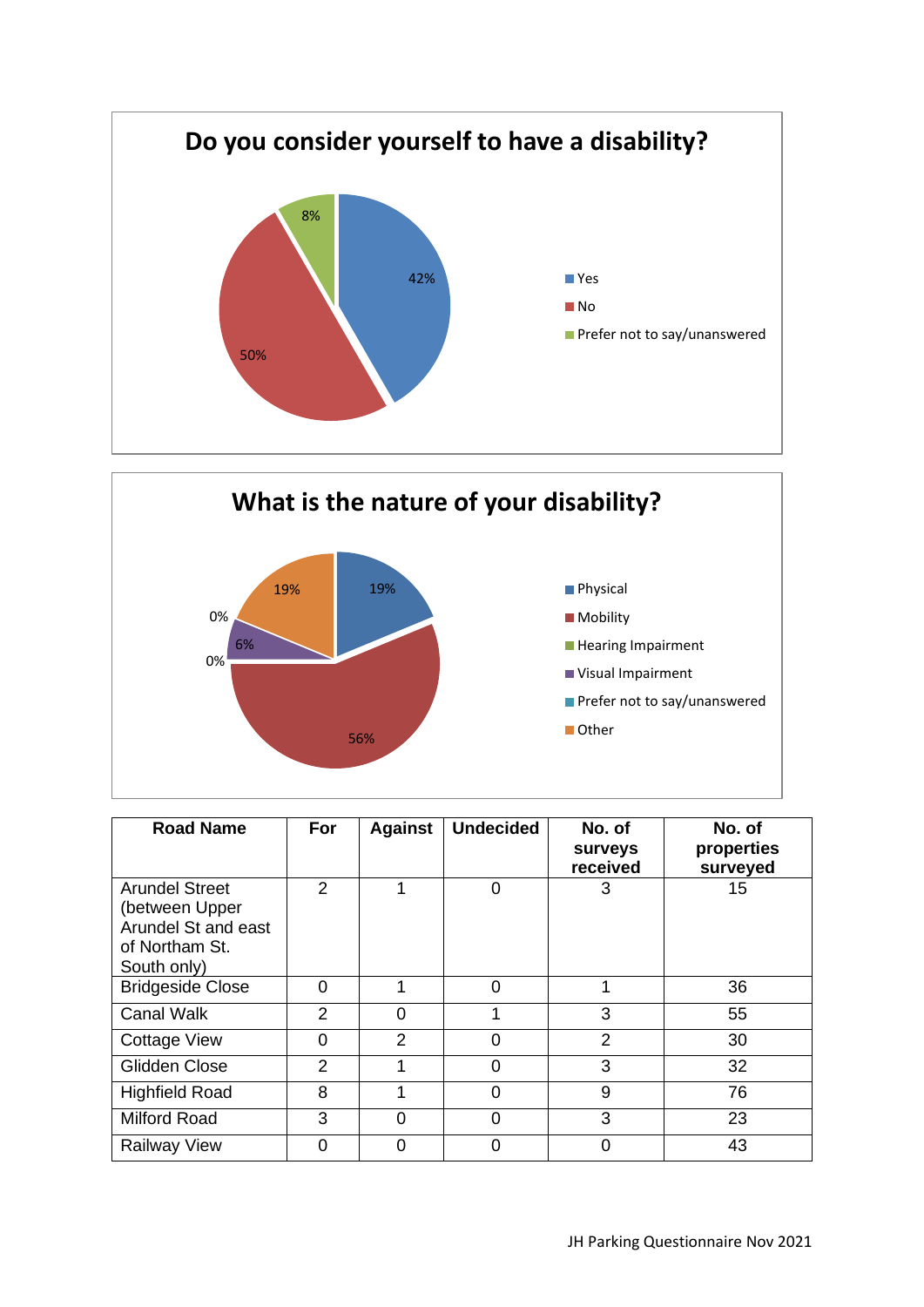



| <b>Road Name</b>                                                                                | For            | <b>Against</b> | <b>Undecided</b> | No. of<br>surveys<br>received | No. of<br>properties<br>surveyed |
|-------------------------------------------------------------------------------------------------|----------------|----------------|------------------|-------------------------------|----------------------------------|
| <b>Arundel Street</b><br>(between Upper<br>Arundel St and east<br>of Northam St.<br>South only) | $\overline{2}$ |                | 0                | 3                             | 15                               |
| <b>Bridgeside Close</b>                                                                         | 0              | 1              | 0                | 1                             | 36                               |
| <b>Canal Walk</b>                                                                               | $\overline{2}$ | $\Omega$       | 1                | 3                             | 55                               |
| <b>Cottage View</b>                                                                             | $\overline{0}$ | 2              | 0                | $\overline{2}$                | 30                               |
| Glidden Close                                                                                   | $\overline{2}$ |                | 0                | 3                             | 32                               |
| <b>Highfield Road</b>                                                                           | 8              |                | $\Omega$         | 9                             | 76                               |
| <b>Milford Road</b>                                                                             | 3              | 0              | 0                | 3                             | 23                               |
| <b>Railway View</b>                                                                             | 0              | $\Omega$       | 0                | 0                             | 43                               |